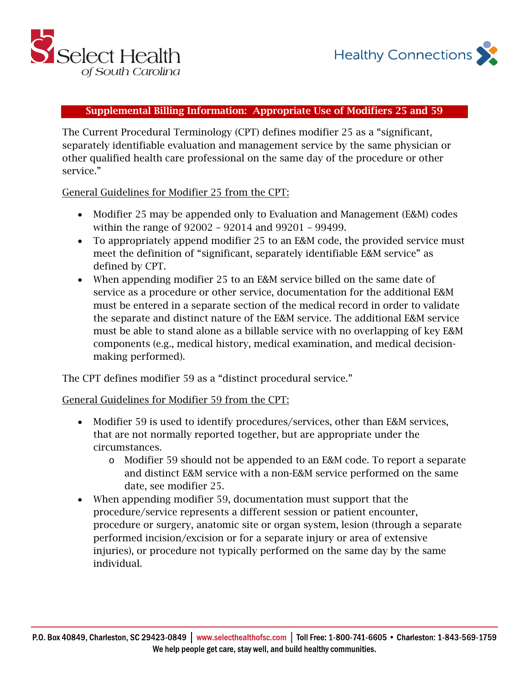

## Supplemental Billing Information: Appropriate Use of Modifiers 25 and 59

The Current Procedural Terminology (CPT) defines modifier 25 as a "significant, separately identifiable evaluation and management service by the same physician or other qualified health care professional on the same day of the procedure or other service."

General Guidelines for Modifier 25 from the CPT:

- Modifier 25 may be appended only to Evaluation and Management (E&M) codes within the range of 92002 – 92014 and 99201 – 99499.
- To appropriately append modifier 25 to an E&M code, the provided service must meet the definition of "significant, separately identifiable E&M service" as defined by CPT.
- When appending modifier 25 to an E&M service billed on the same date of service as a procedure or other service, documentation for the additional E&M must be entered in a separate section of the medical record in order to validate the separate and distinct nature of the E&M service. The additional E&M service must be able to stand alone as a billable service with no overlapping of key E&M components (e.g., medical history, medical examination, and medical decisionmaking performed).

The CPT defines modifier 59 as a "distinct procedural service."

## General Guidelines for Modifier 59 from the CPT:

- Modifier 59 is used to identify procedures/services, other than E&M services, that are not normally reported together, but are appropriate under the circumstances.
	- o Modifier 59 should not be appended to an E&M code. To report a separate and distinct E&M service with a non-E&M service performed on the same date, see modifier 25.
- When appending modifier 59, documentation must support that the procedure/service represents a different session or patient encounter, procedure or surgery, anatomic site or organ system, lesion (through a separate performed incision/excision or for a separate injury or area of extensive injuries), or procedure not typically performed on the same day by the same individual.